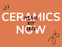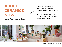## **ABOUT CERAMICS NOW** Brief Introduction

Ceramics Now is a leading independent art publication specialized in contemporary ceramics.

CN promotes contemporary ceramic art and empowers artists working with ceramics since 2010.



The Planter Show at Fort Makers, New York, 2020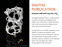

# **DIGITAL PUBLICATION**



The digital publication offers a curated selection of ceramic art projects and publishes artist profiles, news and articles, in-depth interviews with world-renowned and emerging ceramic artists, and many other resources.

Ceramics Now has a monthly readership of over 30,000. CN readers are people for whom ceramics is part of their everyday life—they are arts professionals including artists, curators, educators, collectors, students, and an educated public. They care about arts, culture, and giving back to the community.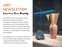## **ART NEWSLETTER** [Ceramics](https://www.ceramicsnow.org/weekly/) Now Weekly

Since 2020, we run Ceramics Now Weekly, the leading newsletter dedicated to contemporary ceramics, reaching a fantastic community of over 9,700 subscribers. Every other week, the editor of Ceramics Now brings you the week's news in the ceramic art world and shares a curated selection of artist profiles and exhibitions.

Our newsletters have an impressive 42% open rate and 20% click rate, well above the market average (which is 26.27% and 2.95%, according to email marketing benchmarks).



Form & Fire: American Studio Ceramics at LSU Museum of Art, Baton Rouge,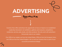

Ceramics Now offers advertisers the opportunity to have an impact on an established readership interested in art exhibitions, galleries and museums, competitions, residencies, services, jobs, books, and other products. We only work with advertisers that provide value to our readers.

Over 50% of our readers are from the United States, 20% are from the European Union, and 15% are from the United Kingdom. Join us and use Ceramics Now as part of your successful promotional strategy!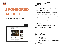

# **SPONSORED ARTICLE**

### in [Ceramics](https://www.ceramicsnow.org/) Now

### **\$300**





- The ideal way to get in front of a highly targeted global audience;
- Published in the News or Exhibitions sections on www.ceramicsnow.org;
- Appears on the Homepage for at least a week;
- Mentioned in Ceramics Now Weekly, our newsletter;
- Shared on Facebook, Twitter, and LinkedIn (over 34,000 followers).

Required assets

- Title: 6-18 words;
- Text: 600 to 1000 words;
- 1-5 images: png or jpg files (horizontal images work best);
- One or two links.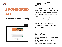

# **SPONSORED AD**

in [Ceramics](https://www.ceramicsnow.org/weekly/) Now Weekly

#### **\$200**



 $\overline{\phantom{0}}$ 

- The best way to generate leads and attract the right audience for your brand;
- Displayed prominently before the News, the most read section of our newsletter;
- Only one sponsored ad placement is available in each edition;
- CN Weekly's trusted reputation will increase your brand awareness;
- Sponsors help keep this newsletter free and accessible to everyone.

Required assets

- Headline (title): max 58 characters, including spaces;
- One link will work on the headline and the image;
- Banner Image: png or jpg file must be exactly 800x150px;
- Main text: max 340 characters, including spaces.